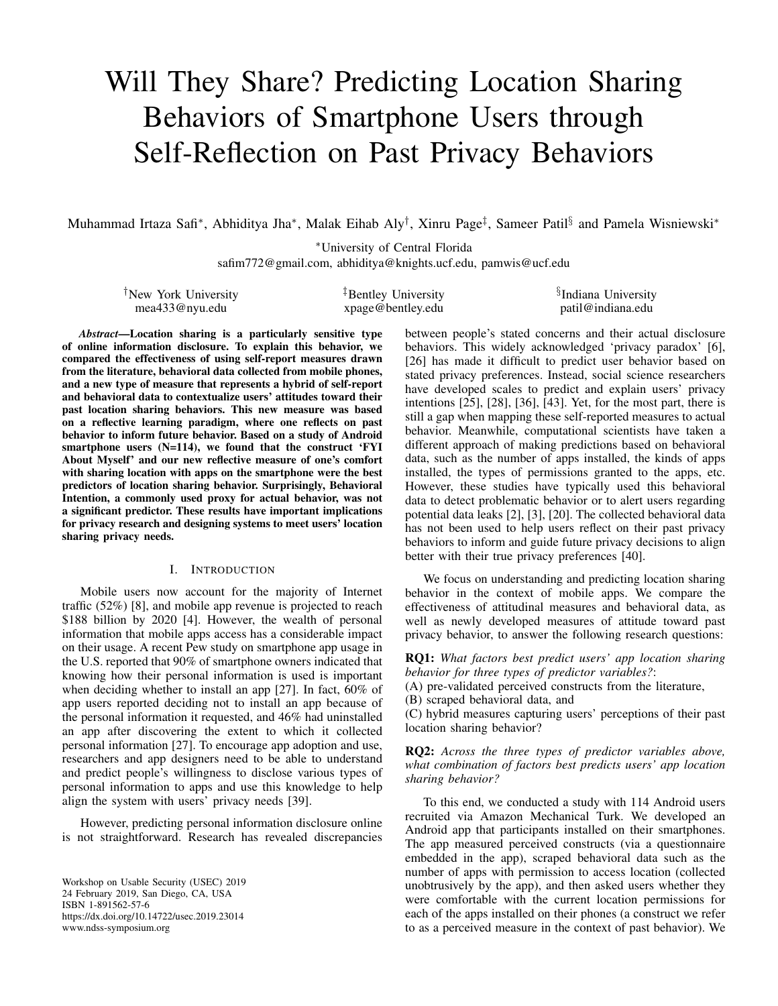# Will They Share? Predicting Location Sharing Behaviors of Smartphone Users through Self-Reflection on Past Privacy Behaviors

Muhammad Irtaza Safi\*, Abhiditya Jha\*, Malak Eihab Aly<sup>†</sup>, Xinru Page<sup>‡</sup>, Sameer Patil§ and Pamela Wisniewski\*

<sup>∗</sup>University of Central Florida safim772@gmail.com, abhiditya@knights.ucf.edu, pamwis@ucf.edu

†New York University mea433@nyu.edu ‡Bentley University xpage@bentley.edu § Indiana University patil@indiana.edu

*Abstract*—Location sharing is a particularly sensitive type of online information disclosure. To explain this behavior, we compared the effectiveness of using self-report measures drawn from the literature, behavioral data collected from mobile phones, and a new type of measure that represents a hybrid of self-report and behavioral data to contextualize users' attitudes toward their past location sharing behaviors. This new measure was based on a reflective learning paradigm, where one reflects on past behavior to inform future behavior. Based on a study of Android smartphone users (N=114), we found that the construct 'FYI About Myself' and our new reflective measure of one's comfort with sharing location with apps on the smartphone were the best predictors of location sharing behavior. Surprisingly, Behavioral Intention, a commonly used proxy for actual behavior, was not a significant predictor. These results have important implications for privacy research and designing systems to meet users' location sharing privacy needs.

#### I. INTRODUCTION

Mobile users now account for the majority of Internet traffic (52%) [8], and mobile app revenue is projected to reach \$188 billion by 2020 [4]. However, the wealth of personal information that mobile apps access has a considerable impact on their usage. A recent Pew study on smartphone app usage in the U.S. reported that 90% of smartphone owners indicated that knowing how their personal information is used is important when deciding whether to install an app [27]. In fact, 60% of app users reported deciding not to install an app because of the personal information it requested, and 46% had uninstalled an app after discovering the extent to which it collected personal information [27]. To encourage app adoption and use, researchers and app designers need to be able to understand and predict people's willingness to disclose various types of personal information to apps and use this knowledge to help align the system with users' privacy needs [39].

However, predicting personal information disclosure online is not straightforward. Research has revealed discrepancies

Workshop on Usable Security (USEC) 2019 24 February 2019, San Diego, CA, USA ISBN 1-891562-57-6 https://dx.doi.org/10.14722/usec.2019.23014 www.ndss-symposium.org

between people's stated concerns and their actual disclosure behaviors. This widely acknowledged 'privacy paradox' [6], [26] has made it difficult to predict user behavior based on stated privacy preferences. Instead, social science researchers have developed scales to predict and explain users' privacy intentions [25], [28], [36], [43]. Yet, for the most part, there is still a gap when mapping these self-reported measures to actual behavior. Meanwhile, computational scientists have taken a different approach of making predictions based on behavioral data, such as the number of apps installed, the kinds of apps installed, the types of permissions granted to the apps, etc. However, these studies have typically used this behavioral data to detect problematic behavior or to alert users regarding potential data leaks [2], [3], [20]. The collected behavioral data has not been used to help users reflect on their past privacy behaviors to inform and guide future privacy decisions to align better with their true privacy preferences [40].

We focus on understanding and predicting location sharing behavior in the context of mobile apps. We compare the effectiveness of attitudinal measures and behavioral data, as well as newly developed measures of attitude toward past privacy behavior, to answer the following research questions:

RQ1: *What factors best predict users' app location sharing behavior for three types of predictor variables?*:

(A) pre-validated perceived constructs from the literature,

(B) scraped behavioral data, and

(C) hybrid measures capturing users' perceptions of their past location sharing behavior?

## RQ2: *Across the three types of predictor variables above, what combination of factors best predicts users' app location sharing behavior?*

To this end, we conducted a study with 114 Android users recruited via Amazon Mechanical Turk. We developed an Android app that participants installed on their smartphones. The app measured perceived constructs (via a questionnaire embedded in the app), scraped behavioral data such as the number of apps with permission to access location (collected unobtrusively by the app), and then asked users whether they were comfortable with the current location permissions for each of the apps installed on their phones (a construct we refer to as a perceived measure in the context of past behavior). We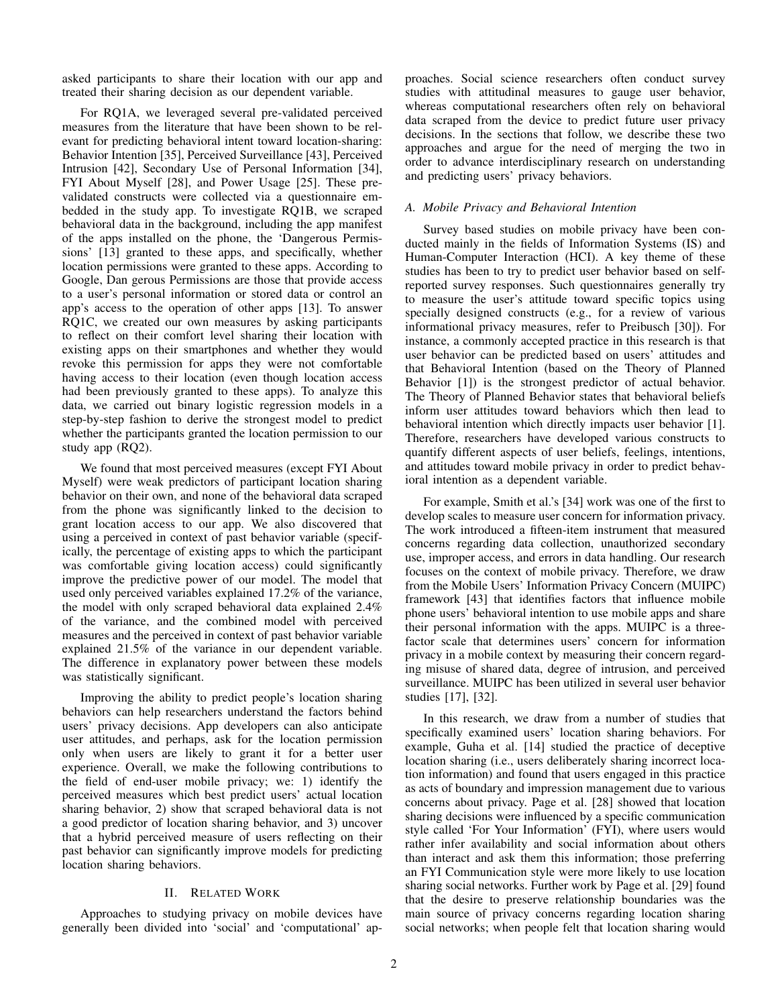asked participants to share their location with our app and treated their sharing decision as our dependent variable.

For RQ1A, we leveraged several pre-validated perceived measures from the literature that have been shown to be relevant for predicting behavioral intent toward location-sharing: Behavior Intention [35], Perceived Surveillance [43], Perceived Intrusion [42], Secondary Use of Personal Information [34], FYI About Myself [28], and Power Usage [25]. These prevalidated constructs were collected via a questionnaire embedded in the study app. To investigate RQ1B, we scraped behavioral data in the background, including the app manifest of the apps installed on the phone, the 'Dangerous Permissions' [13] granted to these apps, and specifically, whether location permissions were granted to these apps. According to Google, Dan gerous Permissions are those that provide access to a user's personal information or stored data or control an app's access to the operation of other apps [13]. To answer RQ1C, we created our own measures by asking participants to reflect on their comfort level sharing their location with existing apps on their smartphones and whether they would revoke this permission for apps they were not comfortable having access to their location (even though location access had been previously granted to these apps). To analyze this data, we carried out binary logistic regression models in a step-by-step fashion to derive the strongest model to predict whether the participants granted the location permission to our study app (RQ2).

We found that most perceived measures (except FYI About Myself) were weak predictors of participant location sharing behavior on their own, and none of the behavioral data scraped from the phone was significantly linked to the decision to grant location access to our app. We also discovered that using a perceived in context of past behavior variable (specifically, the percentage of existing apps to which the participant was comfortable giving location access) could significantly improve the predictive power of our model. The model that used only perceived variables explained 17.2% of the variance, the model with only scraped behavioral data explained 2.4% of the variance, and the combined model with perceived measures and the perceived in context of past behavior variable explained 21.5% of the variance in our dependent variable. The difference in explanatory power between these models was statistically significant.

Improving the ability to predict people's location sharing behaviors can help researchers understand the factors behind users' privacy decisions. App developers can also anticipate user attitudes, and perhaps, ask for the location permission only when users are likely to grant it for a better user experience. Overall, we make the following contributions to the field of end-user mobile privacy; we: 1) identify the perceived measures which best predict users' actual location sharing behavior, 2) show that scraped behavioral data is not a good predictor of location sharing behavior, and 3) uncover that a hybrid perceived measure of users reflecting on their past behavior can significantly improve models for predicting location sharing behaviors.

#### II. RELATED WORK

Approaches to studying privacy on mobile devices have generally been divided into 'social' and 'computational' approaches. Social science researchers often conduct survey studies with attitudinal measures to gauge user behavior, whereas computational researchers often rely on behavioral data scraped from the device to predict future user privacy decisions. In the sections that follow, we describe these two approaches and argue for the need of merging the two in order to advance interdisciplinary research on understanding and predicting users' privacy behaviors.

#### *A. Mobile Privacy and Behavioral Intention*

Survey based studies on mobile privacy have been conducted mainly in the fields of Information Systems (IS) and Human-Computer Interaction (HCI). A key theme of these studies has been to try to predict user behavior based on selfreported survey responses. Such questionnaires generally try to measure the user's attitude toward specific topics using specially designed constructs (e.g., for a review of various informational privacy measures, refer to Preibusch [30]). For instance, a commonly accepted practice in this research is that user behavior can be predicted based on users' attitudes and that Behavioral Intention (based on the Theory of Planned Behavior [1]) is the strongest predictor of actual behavior. The Theory of Planned Behavior states that behavioral beliefs inform user attitudes toward behaviors which then lead to behavioral intention which directly impacts user behavior [1]. Therefore, researchers have developed various constructs to quantify different aspects of user beliefs, feelings, intentions, and attitudes toward mobile privacy in order to predict behavioral intention as a dependent variable.

For example, Smith et al.'s [34] work was one of the first to develop scales to measure user concern for information privacy. The work introduced a fifteen-item instrument that measured concerns regarding data collection, unauthorized secondary use, improper access, and errors in data handling. Our research focuses on the context of mobile privacy. Therefore, we draw from the Mobile Users' Information Privacy Concern (MUIPC) framework [43] that identifies factors that influence mobile phone users' behavioral intention to use mobile apps and share their personal information with the apps. MUIPC is a threefactor scale that determines users' concern for information privacy in a mobile context by measuring their concern regarding misuse of shared data, degree of intrusion, and perceived surveillance. MUIPC has been utilized in several user behavior studies [17], [32].

In this research, we draw from a number of studies that specifically examined users' location sharing behaviors. For example, Guha et al. [14] studied the practice of deceptive location sharing (i.e., users deliberately sharing incorrect location information) and found that users engaged in this practice as acts of boundary and impression management due to various concerns about privacy. Page et al. [28] showed that location sharing decisions were influenced by a specific communication style called 'For Your Information' (FYI), where users would rather infer availability and social information about others than interact and ask them this information; those preferring an FYI Communication style were more likely to use location sharing social networks. Further work by Page et al. [29] found that the desire to preserve relationship boundaries was the main source of privacy concerns regarding location sharing social networks; when people felt that location sharing would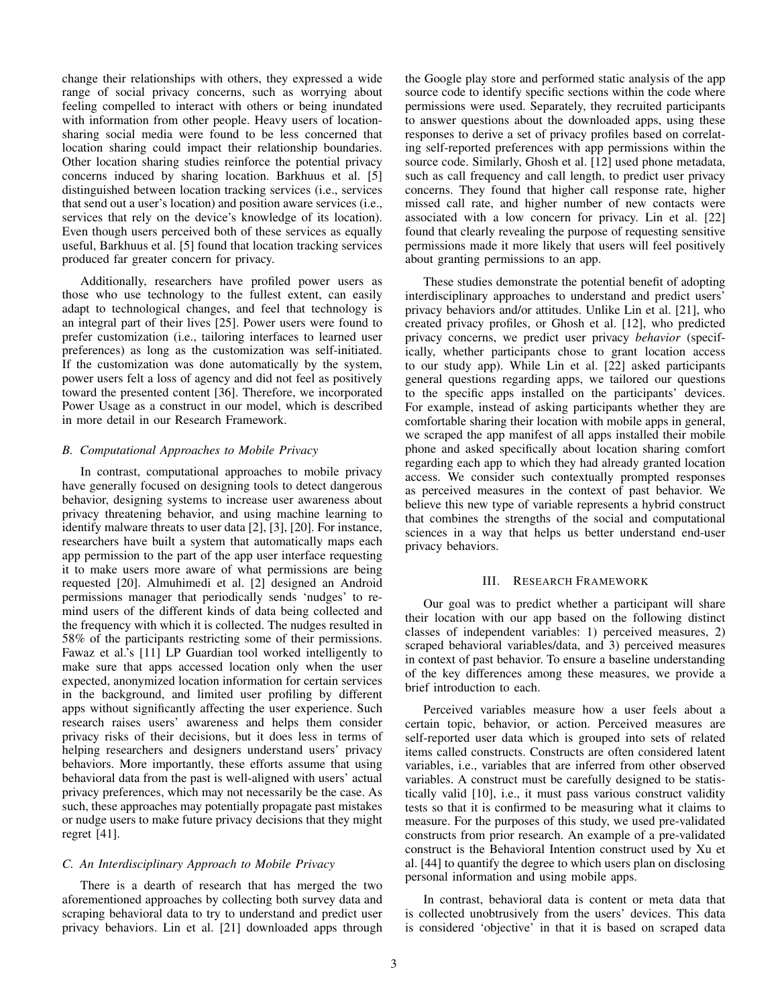change their relationships with others, they expressed a wide range of social privacy concerns, such as worrying about feeling compelled to interact with others or being inundated with information from other people. Heavy users of locationsharing social media were found to be less concerned that location sharing could impact their relationship boundaries. Other location sharing studies reinforce the potential privacy concerns induced by sharing location. Barkhuus et al. [5] distinguished between location tracking services (i.e., services that send out a user's location) and position aware services (i.e., services that rely on the device's knowledge of its location). Even though users perceived both of these services as equally useful, Barkhuus et al. [5] found that location tracking services produced far greater concern for privacy.

Additionally, researchers have profiled power users as those who use technology to the fullest extent, can easily adapt to technological changes, and feel that technology is an integral part of their lives [25]. Power users were found to prefer customization (i.e., tailoring interfaces to learned user preferences) as long as the customization was self-initiated. If the customization was done automatically by the system, power users felt a loss of agency and did not feel as positively toward the presented content [36]. Therefore, we incorporated Power Usage as a construct in our model, which is described in more detail in our Research Framework.

#### *B. Computational Approaches to Mobile Privacy*

In contrast, computational approaches to mobile privacy have generally focused on designing tools to detect dangerous behavior, designing systems to increase user awareness about privacy threatening behavior, and using machine learning to identify malware threats to user data [2], [3], [20]. For instance, researchers have built a system that automatically maps each app permission to the part of the app user interface requesting it to make users more aware of what permissions are being requested [20]. Almuhimedi et al. [2] designed an Android permissions manager that periodically sends 'nudges' to remind users of the different kinds of data being collected and the frequency with which it is collected. The nudges resulted in 58% of the participants restricting some of their permissions. Fawaz et al.'s [11] LP Guardian tool worked intelligently to make sure that apps accessed location only when the user expected, anonymized location information for certain services in the background, and limited user profiling by different apps without significantly affecting the user experience. Such research raises users' awareness and helps them consider privacy risks of their decisions, but it does less in terms of helping researchers and designers understand users' privacy behaviors. More importantly, these efforts assume that using behavioral data from the past is well-aligned with users' actual privacy preferences, which may not necessarily be the case. As such, these approaches may potentially propagate past mistakes or nudge users to make future privacy decisions that they might regret [41].

#### *C. An Interdisciplinary Approach to Mobile Privacy*

There is a dearth of research that has merged the two aforementioned approaches by collecting both survey data and scraping behavioral data to try to understand and predict user privacy behaviors. Lin et al. [21] downloaded apps through the Google play store and performed static analysis of the app source code to identify specific sections within the code where permissions were used. Separately, they recruited participants to answer questions about the downloaded apps, using these responses to derive a set of privacy profiles based on correlating self-reported preferences with app permissions within the source code. Similarly, Ghosh et al. [12] used phone metadata, such as call frequency and call length, to predict user privacy concerns. They found that higher call response rate, higher missed call rate, and higher number of new contacts were associated with a low concern for privacy. Lin et al. [22] found that clearly revealing the purpose of requesting sensitive permissions made it more likely that users will feel positively about granting permissions to an app.

These studies demonstrate the potential benefit of adopting interdisciplinary approaches to understand and predict users' privacy behaviors and/or attitudes. Unlike Lin et al. [21], who created privacy profiles, or Ghosh et al. [12], who predicted privacy concerns, we predict user privacy *behavior* (specifically, whether participants chose to grant location access to our study app). While Lin et al. [22] asked participants general questions regarding apps, we tailored our questions to the specific apps installed on the participants' devices. For example, instead of asking participants whether they are comfortable sharing their location with mobile apps in general, we scraped the app manifest of all apps installed their mobile phone and asked specifically about location sharing comfort regarding each app to which they had already granted location access. We consider such contextually prompted responses as perceived measures in the context of past behavior. We believe this new type of variable represents a hybrid construct that combines the strengths of the social and computational sciences in a way that helps us better understand end-user privacy behaviors.

#### III. RESEARCH FRAMEWORK

Our goal was to predict whether a participant will share their location with our app based on the following distinct classes of independent variables: 1) perceived measures, 2) scraped behavioral variables/data, and 3) perceived measures in context of past behavior. To ensure a baseline understanding of the key differences among these measures, we provide a brief introduction to each.

Perceived variables measure how a user feels about a certain topic, behavior, or action. Perceived measures are self-reported user data which is grouped into sets of related items called constructs. Constructs are often considered latent variables, i.e., variables that are inferred from other observed variables. A construct must be carefully designed to be statistically valid [10], i.e., it must pass various construct validity tests so that it is confirmed to be measuring what it claims to measure. For the purposes of this study, we used pre-validated constructs from prior research. An example of a pre-validated construct is the Behavioral Intention construct used by Xu et al. [44] to quantify the degree to which users plan on disclosing personal information and using mobile apps.

In contrast, behavioral data is content or meta data that is collected unobtrusively from the users' devices. This data is considered 'objective' in that it is based on scraped data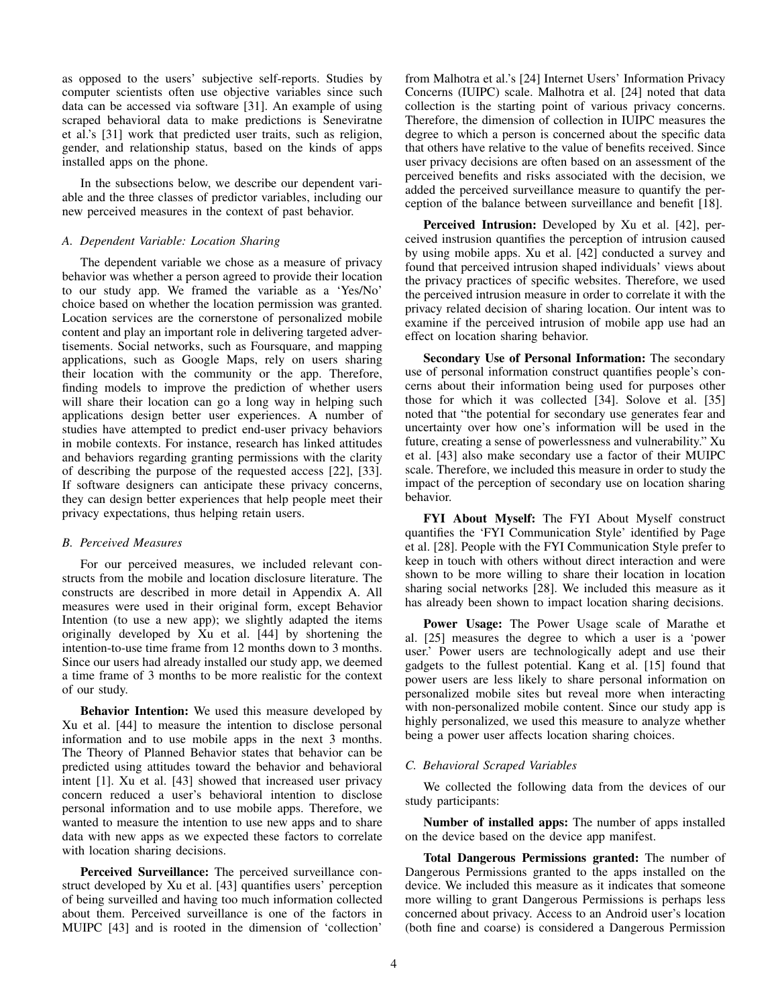as opposed to the users' subjective self-reports. Studies by computer scientists often use objective variables since such data can be accessed via software [31]. An example of using scraped behavioral data to make predictions is Seneviratne et al.'s [31] work that predicted user traits, such as religion, gender, and relationship status, based on the kinds of apps installed apps on the phone.

In the subsections below, we describe our dependent variable and the three classes of predictor variables, including our new perceived measures in the context of past behavior.

### *A. Dependent Variable: Location Sharing*

The dependent variable we chose as a measure of privacy behavior was whether a person agreed to provide their location to our study app. We framed the variable as a 'Yes/No' choice based on whether the location permission was granted. Location services are the cornerstone of personalized mobile content and play an important role in delivering targeted advertisements. Social networks, such as Foursquare, and mapping applications, such as Google Maps, rely on users sharing their location with the community or the app. Therefore, finding models to improve the prediction of whether users will share their location can go a long way in helping such applications design better user experiences. A number of studies have attempted to predict end-user privacy behaviors in mobile contexts. For instance, research has linked attitudes and behaviors regarding granting permissions with the clarity of describing the purpose of the requested access [22], [33]. If software designers can anticipate these privacy concerns, they can design better experiences that help people meet their privacy expectations, thus helping retain users.

#### *B. Perceived Measures*

For our perceived measures, we included relevant constructs from the mobile and location disclosure literature. The constructs are described in more detail in Appendix A. All measures were used in their original form, except Behavior Intention (to use a new app); we slightly adapted the items originally developed by Xu et al. [44] by shortening the intention-to-use time frame from 12 months down to 3 months. Since our users had already installed our study app, we deemed a time frame of 3 months to be more realistic for the context of our study.

Behavior Intention: We used this measure developed by Xu et al. [44] to measure the intention to disclose personal information and to use mobile apps in the next 3 months. The Theory of Planned Behavior states that behavior can be predicted using attitudes toward the behavior and behavioral intent [1]. Xu et al. [43] showed that increased user privacy concern reduced a user's behavioral intention to disclose personal information and to use mobile apps. Therefore, we wanted to measure the intention to use new apps and to share data with new apps as we expected these factors to correlate with location sharing decisions.

Perceived Surveillance: The perceived surveillance construct developed by Xu et al. [43] quantifies users' perception of being surveilled and having too much information collected about them. Perceived surveillance is one of the factors in MUIPC [43] and is rooted in the dimension of 'collection'

from Malhotra et al.'s [24] Internet Users' Information Privacy Concerns (IUIPC) scale. Malhotra et al. [24] noted that data collection is the starting point of various privacy concerns. Therefore, the dimension of collection in IUIPC measures the degree to which a person is concerned about the specific data that others have relative to the value of benefits received. Since user privacy decisions are often based on an assessment of the perceived benefits and risks associated with the decision, we added the perceived surveillance measure to quantify the perception of the balance between surveillance and benefit [18].

Perceived Intrusion: Developed by Xu et al. [42], perceived instrusion quantifies the perception of intrusion caused by using mobile apps. Xu et al. [42] conducted a survey and found that perceived intrusion shaped individuals' views about the privacy practices of specific websites. Therefore, we used the perceived intrusion measure in order to correlate it with the privacy related decision of sharing location. Our intent was to examine if the perceived intrusion of mobile app use had an effect on location sharing behavior.

Secondary Use of Personal Information: The secondary use of personal information construct quantifies people's concerns about their information being used for purposes other those for which it was collected [34]. Solove et al. [35] noted that "the potential for secondary use generates fear and uncertainty over how one's information will be used in the future, creating a sense of powerlessness and vulnerability." Xu et al. [43] also make secondary use a factor of their MUIPC scale. Therefore, we included this measure in order to study the impact of the perception of secondary use on location sharing behavior.

FYI About Myself: The FYI About Myself construct quantifies the 'FYI Communication Style' identified by Page et al. [28]. People with the FYI Communication Style prefer to keep in touch with others without direct interaction and were shown to be more willing to share their location in location sharing social networks [28]. We included this measure as it has already been shown to impact location sharing decisions.

Power Usage: The Power Usage scale of Marathe et al. [25] measures the degree to which a user is a 'power user.' Power users are technologically adept and use their gadgets to the fullest potential. Kang et al. [15] found that power users are less likely to share personal information on personalized mobile sites but reveal more when interacting with non-personalized mobile content. Since our study app is highly personalized, we used this measure to analyze whether being a power user affects location sharing choices.

## *C. Behavioral Scraped Variables*

We collected the following data from the devices of our study participants:

Number of installed apps: The number of apps installed on the device based on the device app manifest.

Total Dangerous Permissions granted: The number of Dangerous Permissions granted to the apps installed on the device. We included this measure as it indicates that someone more willing to grant Dangerous Permissions is perhaps less concerned about privacy. Access to an Android user's location (both fine and coarse) is considered a Dangerous Permission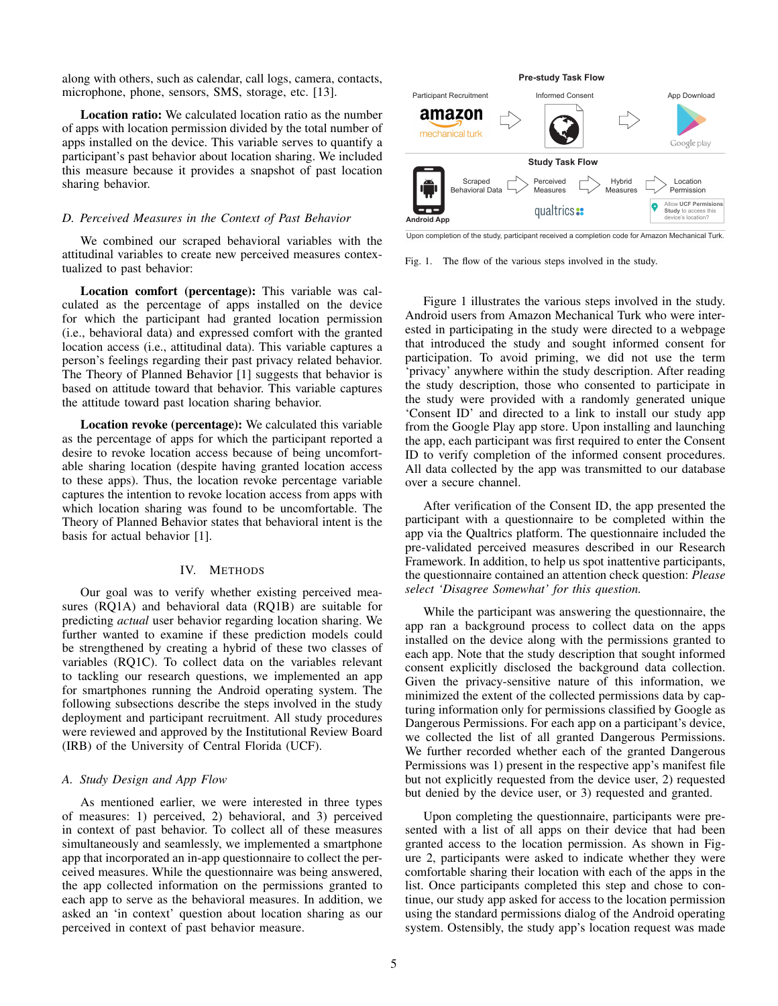along with others, such as calendar, call logs, camera, contacts, microphone, phone, sensors, SMS, storage, etc. [13].

Location ratio: We calculated location ratio as the number of apps with location permission divided by the total number of apps installed on the device. This variable serves to quantify a participant's past behavior about location sharing. We included this measure because it provides a snapshot of past location sharing behavior.

#### *D. Perceived Measures in the Context of Past Behavior*

We combined our scraped behavioral variables with the attitudinal variables to create new perceived measures contextualized to past behavior:

Location comfort (percentage): This variable was calculated as the percentage of apps installed on the device for which the participant had granted location permission (i.e., behavioral data) and expressed comfort with the granted location access (i.e., attitudinal data). This variable captures a person's feelings regarding their past privacy related behavior. The Theory of Planned Behavior [1] suggests that behavior is based on attitude toward that behavior. This variable captures the attitude toward past location sharing behavior.

Location revoke (percentage): We calculated this variable as the percentage of apps for which the participant reported a desire to revoke location access because of being uncomfortable sharing location (despite having granted location access to these apps). Thus, the location revoke percentage variable captures the intention to revoke location access from apps with which location sharing was found to be uncomfortable. The Theory of Planned Behavior states that behavioral intent is the basis for actual behavior [1].

#### IV. METHODS

Our goal was to verify whether existing perceived measures (RQ1A) and behavioral data (RQ1B) are suitable for predicting *actual* user behavior regarding location sharing. We further wanted to examine if these prediction models could be strengthened by creating a hybrid of these two classes of variables (RQ1C). To collect data on the variables relevant to tackling our research questions, we implemented an app for smartphones running the Android operating system. The following subsections describe the steps involved in the study deployment and participant recruitment. All study procedures were reviewed and approved by the Institutional Review Board (IRB) of the University of Central Florida (UCF).

#### *A. Study Design and App Flow*

As mentioned earlier, we were interested in three types of measures: 1) perceived, 2) behavioral, and 3) perceived in context of past behavior. To collect all of these measures simultaneously and seamlessly, we implemented a smartphone app that incorporated an in-app questionnaire to collect the perceived measures. While the questionnaire was being answered, the app collected information on the permissions granted to each app to serve as the behavioral measures. In addition, we asked an 'in context' question about location sharing as our perceived in context of past behavior measure.



Fig. 1. The flow of the various steps involved in the study.

Figure 1 illustrates the various steps involved in the study. Android users from Amazon Mechanical Turk who were interested in participating in the study were directed to a webpage that introduced the study and sought informed consent for participation. To avoid priming, we did not use the term 'privacy' anywhere within the study description. After reading the study description, those who consented to participate in the study were provided with a randomly generated unique 'Consent ID' and directed to a link to install our study app from the Google Play app store. Upon installing and launching the app, each participant was first required to enter the Consent ID to verify completion of the informed consent procedures. All data collected by the app was transmitted to our database over a secure channel.

After verification of the Consent ID, the app presented the participant with a questionnaire to be completed within the app via the Qualtrics platform. The questionnaire included the pre-validated perceived measures described in our Research Framework. In addition, to help us spot inattentive participants, the questionnaire contained an attention check question: *Please select 'Disagree Somewhat' for this question.*

While the participant was answering the questionnaire, the app ran a background process to collect data on the apps installed on the device along with the permissions granted to each app. Note that the study description that sought informed consent explicitly disclosed the background data collection. Given the privacy-sensitive nature of this information, we minimized the extent of the collected permissions data by capturing information only for permissions classified by Google as Dangerous Permissions. For each app on a participant's device, we collected the list of all granted Dangerous Permissions. We further recorded whether each of the granted Dangerous Permissions was 1) present in the respective app's manifest file but not explicitly requested from the device user, 2) requested but denied by the device user, or 3) requested and granted.

Upon completing the questionnaire, participants were presented with a list of all apps on their device that had been granted access to the location permission. As shown in Figure 2, participants were asked to indicate whether they were comfortable sharing their location with each of the apps in the list. Once participants completed this step and chose to continue, our study app asked for access to the location permission using the standard permissions dialog of the Android operating system. Ostensibly, the study app's location request was made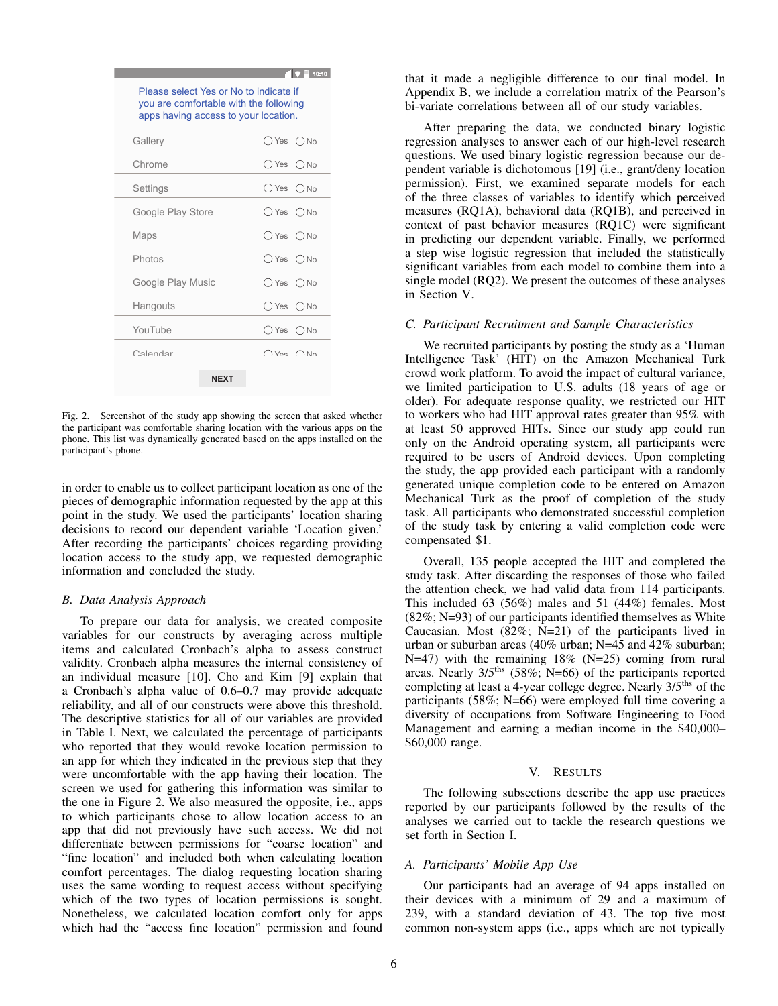|                                                                                                                          | 10:10                                  |
|--------------------------------------------------------------------------------------------------------------------------|----------------------------------------|
| Please select Yes or No to indicate if<br>you are comfortable with the following<br>apps having access to your location. |                                        |
| Gallery                                                                                                                  | $\bigcirc$ Yes $\bigcirc$ No           |
| Chrome                                                                                                                   | ○Yes ○No                               |
| Settings                                                                                                                 | ○Yes ○No                               |
| Google Play Store                                                                                                        | $O$ Yes $O$ No                         |
| Maps                                                                                                                     | $\bigcirc$ Yes $\bigcirc$ No           |
| Photos                                                                                                                   | ○Yes ○No                               |
| Google Play Music                                                                                                        | ○Yes ○No                               |
| Hangouts                                                                                                                 | $\bigcirc$ Yes $\bigcirc$ No           |
| YouTube                                                                                                                  | $O$ Yes $~O$ No                        |
| Calendar                                                                                                                 | $\bigcap$ Yes $\bigcap$ N <sub>0</sub> |
| <b>NEXT</b>                                                                                                              |                                        |

Fig. 2. Screenshot of the study app showing the screen that asked whether the participant was comfortable sharing location with the various apps on the phone. This list was dynamically generated based on the apps installed on the participant's phone.

in order to enable us to collect participant location as one of the pieces of demographic information requested by the app at this point in the study. We used the participants' location sharing decisions to record our dependent variable 'Location given.' After recording the participants' choices regarding providing location access to the study app, we requested demographic information and concluded the study.

#### *B. Data Analysis Approach*

To prepare our data for analysis, we created composite variables for our constructs by averaging across multiple items and calculated Cronbach's alpha to assess construct validity. Cronbach alpha measures the internal consistency of an individual measure [10]. Cho and Kim [9] explain that a Cronbach's alpha value of 0.6–0.7 may provide adequate reliability, and all of our constructs were above this threshold. The descriptive statistics for all of our variables are provided in Table I. Next, we calculated the percentage of participants who reported that they would revoke location permission to an app for which they indicated in the previous step that they were uncomfortable with the app having their location. The screen we used for gathering this information was similar to the one in Figure 2. We also measured the opposite, i.e., apps to which participants chose to allow location access to an app that did not previously have such access. We did not differentiate between permissions for "coarse location" and "fine location" and included both when calculating location comfort percentages. The dialog requesting location sharing uses the same wording to request access without specifying which of the two types of location permissions is sought. Nonetheless, we calculated location comfort only for apps which had the "access fine location" permission and found that it made a negligible difference to our final model. In Appendix B, we include a correlation matrix of the Pearson's bi-variate correlations between all of our study variables.

After preparing the data, we conducted binary logistic regression analyses to answer each of our high-level research questions. We used binary logistic regression because our dependent variable is dichotomous [19] (i.e., grant/deny location permission). First, we examined separate models for each of the three classes of variables to identify which perceived measures (RQ1A), behavioral data (RQ1B), and perceived in context of past behavior measures (RQ1C) were significant in predicting our dependent variable. Finally, we performed a step wise logistic regression that included the statistically significant variables from each model to combine them into a single model (RQ2). We present the outcomes of these analyses in Section V.

#### *C. Participant Recruitment and Sample Characteristics*

We recruited participants by posting the study as a 'Human Intelligence Task' (HIT) on the Amazon Mechanical Turk crowd work platform. To avoid the impact of cultural variance, we limited participation to U.S. adults (18 years of age or older). For adequate response quality, we restricted our HIT to workers who had HIT approval rates greater than 95% with at least 50 approved HITs. Since our study app could run only on the Android operating system, all participants were required to be users of Android devices. Upon completing the study, the app provided each participant with a randomly generated unique completion code to be entered on Amazon Mechanical Turk as the proof of completion of the study task. All participants who demonstrated successful completion of the study task by entering a valid completion code were compensated \$1.

Overall, 135 people accepted the HIT and completed the study task. After discarding the responses of those who failed the attention check, we had valid data from 114 participants. This included 63 (56%) males and 51 (44%) females. Most (82%; N=93) of our participants identified themselves as White Caucasian. Most  $(82\%, N=21)$  of the participants lived in urban or suburban areas (40% urban; N=45 and 42% suburban; N=47) with the remaining 18% (N=25) coming from rural areas. Nearly  $3/5$ <sup>ths</sup> (58%; N=66) of the participants reported completing at least a 4-year college degree. Nearly  $3/5<sup>ths</sup>$  of the participants (58%; N=66) were employed full time covering a diversity of occupations from Software Engineering to Food Management and earning a median income in the \$40,000– \$60,000 range.

#### V. RESULTS

The following subsections describe the app use practices reported by our participants followed by the results of the analyses we carried out to tackle the research questions we set forth in Section I.

#### *A. Participants' Mobile App Use*

Our participants had an average of 94 apps installed on their devices with a minimum of 29 and a maximum of 239, with a standard deviation of 43. The top five most common non-system apps (i.e., apps which are not typically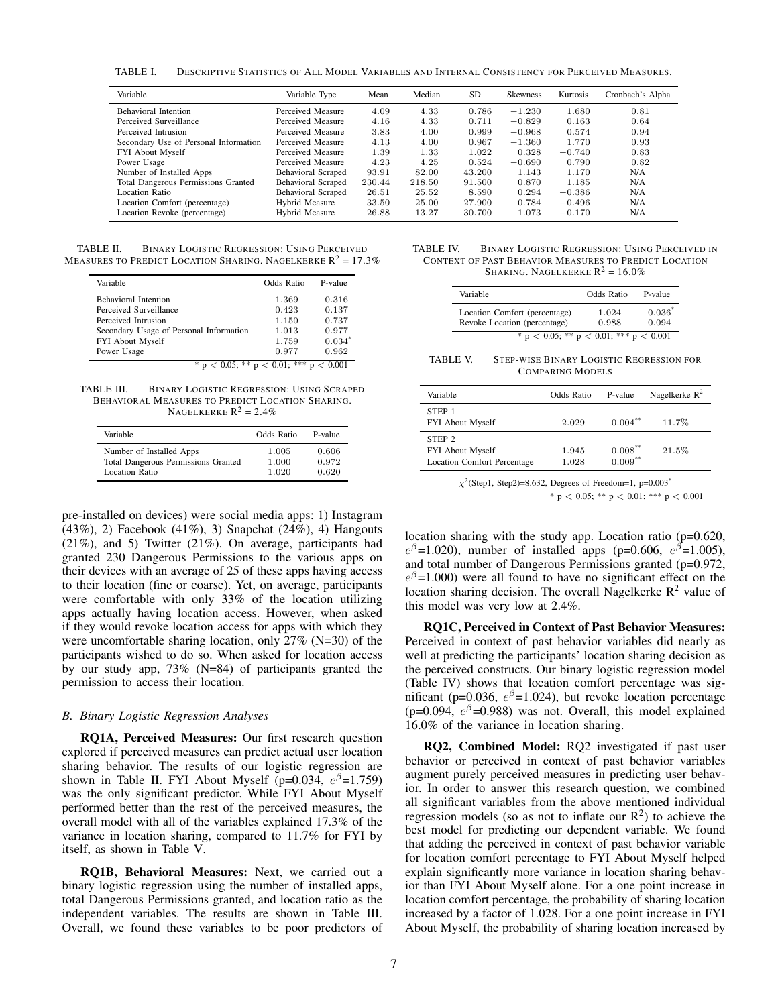TABLE I. DESCRIPTIVE STATISTICS OF ALL MODEL VARIABLES AND INTERNAL CONSISTENCY FOR PERCEIVED MEASURES.

| Variable                              | Variable Type             | Mean   | Median | SD     | <b>Skewness</b> | <b>Kurtosis</b> | Cronbach's Alpha |
|---------------------------------------|---------------------------|--------|--------|--------|-----------------|-----------------|------------------|
| <b>Behavioral Intention</b>           | Perceived Measure         | 4.09   | 4.33   | 0.786  | $-1.230$        | 1.680           | 0.81             |
| Perceived Surveillance                | Perceived Measure         | 4.16   | 4.33   | 0.711  | $-0.829$        | 0.163           | 0.64             |
| Perceived Intrusion                   | Perceived Measure         | 3.83   | 4.00   | 0.999  | $-0.968$        | 0.574           | 0.94             |
| Secondary Use of Personal Information | Perceived Measure         | 4.13   | 4.00   | 0.967  | $-1.360$        | 1.770           | 0.93             |
| FYI About Myself                      | Perceived Measure         | 1.39   | 1.33   | 1.022  | 0.328           | $-0.740$        | 0.83             |
| Power Usage                           | Perceived Measure         | 4.23   | 4.25   | 0.524  | $-0.690$        | 0.790           | 0.82             |
| Number of Installed Apps              | <b>Behavioral Scraped</b> | 93.91  | 82.00  | 43.200 | 1.143           | 1.170           | N/A              |
| Total Dangerous Permissions Granted   | <b>Behavioral Scraped</b> | 230.44 | 218.50 | 91.500 | 0.870           | 1.185           | N/A              |
| Location Ratio                        | <b>Behavioral Scraped</b> | 26.51  | 25.52  | 8.590  | 0.294           | $-0.386$        | N/A              |
| Location Comfort (percentage)         | <b>Hybrid Measure</b>     | 33.50  | 25.00  | 27.900 | 0.784           | $-0.496$        | N/A              |
| Location Revoke (percentage)          | Hybrid Measure            | 26.88  | 13.27  | 30.700 | 1.073           | $-0.170$        | N/A              |

TABLE II. BINARY LOGISTIC REGRESSION: USING PERCEIVED Measures to Predict Location Sharing. Nagelkerke R<sup>2</sup> = 17.3%

| Variable                                | Odds Ratio | P-value  |
|-----------------------------------------|------------|----------|
| <b>Behavioral Intention</b>             | 1.369      | 0.316    |
| Perceived Surveillance                  | 0.423      | 0.137    |
| Perceived Intrusion                     | 1.150      | 0.737    |
| Secondary Usage of Personal Information | 1.013      | 0.977    |
| FYI About Myself                        | 1.759      | $0.034*$ |
| Power Usage                             | 0.977      | 0.962    |
| $< 0.05$ ; ** p $< 0.01$ ;              | ***        | < 0.001  |

TABLE III. BINARY LOGISTIC REGRESSION: USING SCRAPED BEHAVIORAL MEASURES TO PREDICT LOCATION SHARING. Nagelkerke R<sup>2</sup> = 2.4%

| Variable                            | Odds Ratio | P-value |
|-------------------------------------|------------|---------|
| Number of Installed Apps            | 1.005      | 0.606   |
| Total Dangerous Permissions Granted | 1.000      | 0.972   |
| Location Ratio                      | 1.020      | 0.620   |

pre-installed on devices) were social media apps: 1) Instagram (43%), 2) Facebook (41%), 3) Snapchat (24%), 4) Hangouts (21%), and 5) Twitter (21%). On average, participants had granted 230 Dangerous Permissions to the various apps on their devices with an average of 25 of these apps having access to their location (fine or coarse). Yet, on average, participants were comfortable with only 33% of the location utilizing apps actually having location access. However, when asked if they would revoke location access for apps with which they were uncomfortable sharing location, only 27% (N=30) of the participants wished to do so. When asked for location access by our study app, 73% (N=84) of participants granted the permission to access their location.

#### *B. Binary Logistic Regression Analyses*

RQ1A, Perceived Measures: Our first research question explored if perceived measures can predict actual user location sharing behavior. The results of our logistic regression are shown in Table II. FYI About Myself (p=0.034,  $e^{\beta}$ =1.759) was the only significant predictor. While FYI About Myself performed better than the rest of the perceived measures, the overall model with all of the variables explained 17.3% of the variance in location sharing, compared to 11.7% for FYI by itself, as shown in Table V.

RQ1B, Behavioral Measures: Next, we carried out a binary logistic regression using the number of installed apps, total Dangerous Permissions granted, and location ratio as the independent variables. The results are shown in Table III. Overall, we found these variables to be poor predictors of

| TABLE IV. | <b>BINARY LOGISTIC REGRESSION: USING PERCEIVED IN</b>        |
|-----------|--------------------------------------------------------------|
|           | <b>CONTEXT OF PAST BEHAVIOR MEASURES TO PREDICT LOCATION</b> |
|           | SHARING, NAGELKERKE $R^2 = 16.0\%$                           |

| Variable                                                      | Odds Ratio     | P-value           |
|---------------------------------------------------------------|----------------|-------------------|
| Location Comfort (percentage)<br>Revoke Location (percentage) | 1.024<br>0.988 | $0.036*$<br>0.094 |
| * $p < 0.05$ ; ** $p < 0.01$ ; *** $p < 0.001$                |                |                   |

TABLE V. STEP-WISE BINARY LOGISTIC REGRESSION FOR COMPARING MODELS

| Odds Ratio | P-value    | Nagelkerke $R^2$        |
|------------|------------|-------------------------|
|            |            |                         |
| 2.029      |            | 11.7%                   |
|            |            |                         |
| 1.945      |            | 21.5%                   |
| 1.028      | $0.009***$ |                         |
|            |            | $0.004**$<br>$0.008***$ |

\* p  $< 0.05$ ; \*\* p  $< 0.01$ ; \*\*\* p  $< 0.001$ 

location sharing with the study app. Location ratio (p=0.620,  $e^{\beta}$ =1.020), number of installed apps (p=0.606,  $e^{\beta}$ =1.005), and total number of Dangerous Permissions granted (p=0.972,  $e^{\beta}$ =1.000) were all found to have no significant effect on the location sharing decision. The overall Nagelkerke  $\mathbb{R}^2$  value of this model was very low at 2.4%.

RQ1C, Perceived in Context of Past Behavior Measures: Perceived in context of past behavior variables did nearly as well at predicting the participants' location sharing decision as the perceived constructs. Our binary logistic regression model (Table IV) shows that location comfort percentage was significant (p=0.036,  $e^{\beta}$ =1.024), but revoke location percentage (p=0.094,  $e^{\beta}$ =0.988) was not. Overall, this model explained 16.0% of the variance in location sharing.

RQ2, Combined Model: RQ2 investigated if past user behavior or perceived in context of past behavior variables augment purely perceived measures in predicting user behavior. In order to answer this research question, we combined all significant variables from the above mentioned individual regression models (so as not to inflate our  $\mathbb{R}^2$ ) to achieve the best model for predicting our dependent variable. We found that adding the perceived in context of past behavior variable for location comfort percentage to FYI About Myself helped explain significantly more variance in location sharing behavior than FYI About Myself alone. For a one point increase in location comfort percentage, the probability of sharing location increased by a factor of 1.028. For a one point increase in FYI About Myself, the probability of sharing location increased by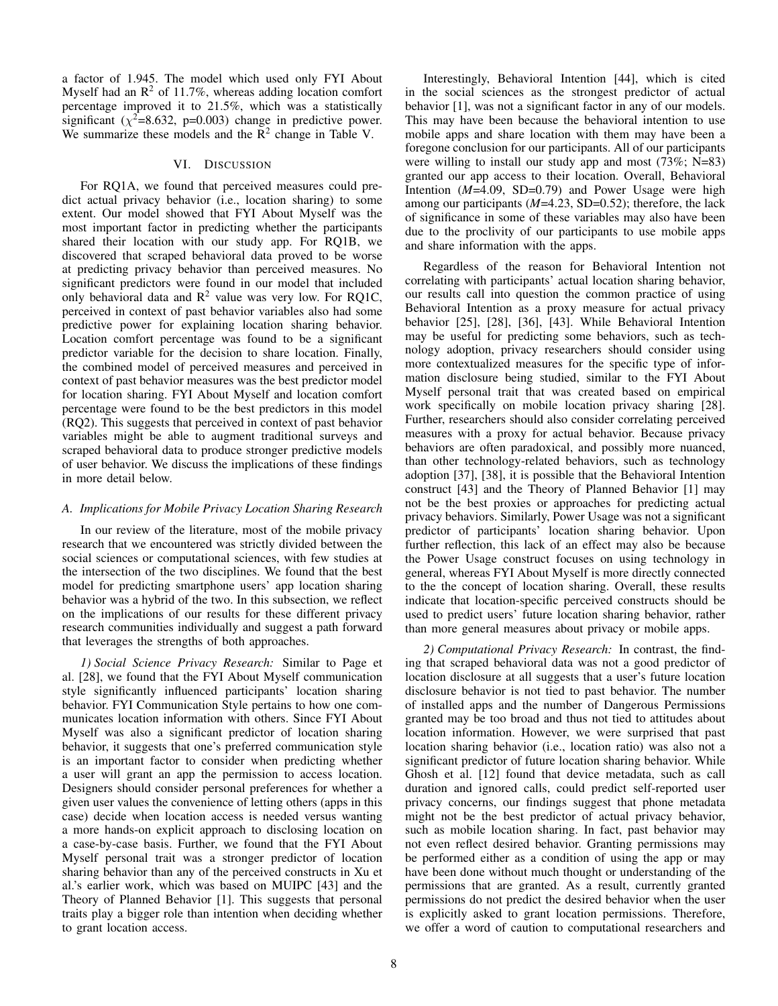a factor of 1.945. The model which used only FYI About Myself had an  $\mathbb{R}^2$  of 11.7%, whereas adding location comfort percentage improved it to 21.5%, which was a statistically significant ( $\chi^2$ =8.632, p=0.003) change in predictive power. We summarize these models and the  $\bar{R}^2$  change in Table V.

## VI. DISCUSSION

For RQ1A, we found that perceived measures could predict actual privacy behavior (i.e., location sharing) to some extent. Our model showed that FYI About Myself was the most important factor in predicting whether the participants shared their location with our study app. For RQ1B, we discovered that scraped behavioral data proved to be worse at predicting privacy behavior than perceived measures. No significant predictors were found in our model that included only behavioral data and  $\mathbb{R}^2$  value was very low. For RQ1C, perceived in context of past behavior variables also had some predictive power for explaining location sharing behavior. Location comfort percentage was found to be a significant predictor variable for the decision to share location. Finally, the combined model of perceived measures and perceived in context of past behavior measures was the best predictor model for location sharing. FYI About Myself and location comfort percentage were found to be the best predictors in this model (RQ2). This suggests that perceived in context of past behavior variables might be able to augment traditional surveys and scraped behavioral data to produce stronger predictive models of user behavior. We discuss the implications of these findings in more detail below.

## *A. Implications for Mobile Privacy Location Sharing Research*

In our review of the literature, most of the mobile privacy research that we encountered was strictly divided between the social sciences or computational sciences, with few studies at the intersection of the two disciplines. We found that the best model for predicting smartphone users' app location sharing behavior was a hybrid of the two. In this subsection, we reflect on the implications of our results for these different privacy research communities individually and suggest a path forward that leverages the strengths of both approaches.

*1) Social Science Privacy Research:* Similar to Page et al. [28], we found that the FYI About Myself communication style significantly influenced participants' location sharing behavior. FYI Communication Style pertains to how one communicates location information with others. Since FYI About Myself was also a significant predictor of location sharing behavior, it suggests that one's preferred communication style is an important factor to consider when predicting whether a user will grant an app the permission to access location. Designers should consider personal preferences for whether a given user values the convenience of letting others (apps in this case) decide when location access is needed versus wanting a more hands-on explicit approach to disclosing location on a case-by-case basis. Further, we found that the FYI About Myself personal trait was a stronger predictor of location sharing behavior than any of the perceived constructs in Xu et al.'s earlier work, which was based on MUIPC [43] and the Theory of Planned Behavior [1]. This suggests that personal traits play a bigger role than intention when deciding whether to grant location access.

Interestingly, Behavioral Intention [44], which is cited in the social sciences as the strongest predictor of actual behavior [1], was not a significant factor in any of our models. This may have been because the behavioral intention to use mobile apps and share location with them may have been a foregone conclusion for our participants. All of our participants were willing to install our study app and most (73%; N=83) granted our app access to their location. Overall, Behavioral Intention (*M*=4.09, SD=0.79) and Power Usage were high among our participants (*M*=4.23, SD=0.52); therefore, the lack of significance in some of these variables may also have been due to the proclivity of our participants to use mobile apps and share information with the apps.

Regardless of the reason for Behavioral Intention not correlating with participants' actual location sharing behavior, our results call into question the common practice of using Behavioral Intention as a proxy measure for actual privacy behavior [25], [28], [36], [43]. While Behavioral Intention may be useful for predicting some behaviors, such as technology adoption, privacy researchers should consider using more contextualized measures for the specific type of information disclosure being studied, similar to the FYI About Myself personal trait that was created based on empirical work specifically on mobile location privacy sharing [28]. Further, researchers should also consider correlating perceived measures with a proxy for actual behavior. Because privacy behaviors are often paradoxical, and possibly more nuanced, than other technology-related behaviors, such as technology adoption [37], [38], it is possible that the Behavioral Intention construct [43] and the Theory of Planned Behavior [1] may not be the best proxies or approaches for predicting actual privacy behaviors. Similarly, Power Usage was not a significant predictor of participants' location sharing behavior. Upon further reflection, this lack of an effect may also be because the Power Usage construct focuses on using technology in general, whereas FYI About Myself is more directly connected to the the concept of location sharing. Overall, these results indicate that location-specific perceived constructs should be used to predict users' future location sharing behavior, rather than more general measures about privacy or mobile apps.

*2) Computational Privacy Research:* In contrast, the finding that scraped behavioral data was not a good predictor of location disclosure at all suggests that a user's future location disclosure behavior is not tied to past behavior. The number of installed apps and the number of Dangerous Permissions granted may be too broad and thus not tied to attitudes about location information. However, we were surprised that past location sharing behavior (i.e., location ratio) was also not a significant predictor of future location sharing behavior. While Ghosh et al. [12] found that device metadata, such as call duration and ignored calls, could predict self-reported user privacy concerns, our findings suggest that phone metadata might not be the best predictor of actual privacy behavior, such as mobile location sharing. In fact, past behavior may not even reflect desired behavior. Granting permissions may be performed either as a condition of using the app or may have been done without much thought or understanding of the permissions that are granted. As a result, currently granted permissions do not predict the desired behavior when the user is explicitly asked to grant location permissions. Therefore, we offer a word of caution to computational researchers and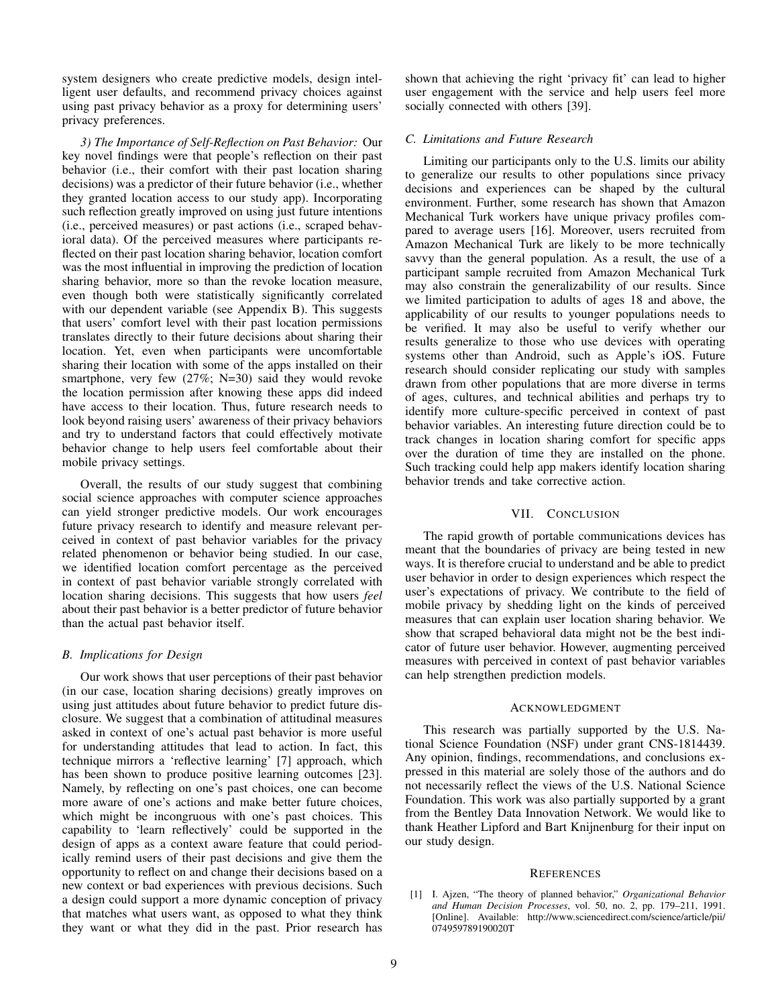system designers who create predictive models, design intelligent user defaults, and recommend privacy choices against using past privacy behavior as a proxy for determining users' privacy preferences.

*3) The Importance of Self-Reflection on Past Behavior:* Our key novel findings were that people's reflection on their past behavior (i.e., their comfort with their past location sharing decisions) was a predictor of their future behavior (i.e., whether they granted location access to our study app). Incorporating such reflection greatly improved on using just future intentions (i.e., perceived measures) or past actions (i.e., scraped behavioral data). Of the perceived measures where participants reflected on their past location sharing behavior, location comfort was the most influential in improving the prediction of location sharing behavior, more so than the revoke location measure, even though both were statistically significantly correlated with our dependent variable (see Appendix B). This suggests that users' comfort level with their past location permissions translates directly to their future decisions about sharing their location. Yet, even when participants were uncomfortable sharing their location with some of the apps installed on their smartphone, very few (27%; N=30) said they would revoke the location permission after knowing these apps did indeed have access to their location. Thus, future research needs to look beyond raising users' awareness of their privacy behaviors and try to understand factors that could effectively motivate behavior change to help users feel comfortable about their mobile privacy settings.

Overall, the results of our study suggest that combining social science approaches with computer science approaches can yield stronger predictive models. Our work encourages future privacy research to identify and measure relevant perceived in context of past behavior variables for the privacy related phenomenon or behavior being studied. In our case, we identified location comfort percentage as the perceived in context of past behavior variable strongly correlated with location sharing decisions. This suggests that how users *feel* about their past behavior is a better predictor of future behavior than the actual past behavior itself.

#### *B. Implications for Design*

Our work shows that user perceptions of their past behavior (in our case, location sharing decisions) greatly improves on using just attitudes about future behavior to predict future disclosure. We suggest that a combination of attitudinal measures asked in context of one's actual past behavior is more useful for understanding attitudes that lead to action. In fact, this technique mirrors a 'reflective learning' [7] approach, which has been shown to produce positive learning outcomes [23]. Namely, by reflecting on one's past choices, one can become more aware of one's actions and make better future choices, which might be incongruous with one's past choices. This capability to 'learn reflectively' could be supported in the design of apps as a context aware feature that could periodically remind users of their past decisions and give them the opportunity to reflect on and change their decisions based on a new context or bad experiences with previous decisions. Such a design could support a more dynamic conception of privacy that matches what users want, as opposed to what they think they want or what they did in the past. Prior research has shown that achieving the right 'privacy fit' can lead to higher user engagement with the service and help users feel more socially connected with others [39].

#### *C. Limitations and Future Research*

Limiting our participants only to the U.S. limits our ability to generalize our results to other populations since privacy decisions and experiences can be shaped by the cultural environment. Further, some research has shown that Amazon Mechanical Turk workers have unique privacy profiles compared to average users [16]. Moreover, users recruited from Amazon Mechanical Turk are likely to be more technically savvy than the general population. As a result, the use of a participant sample recruited from Amazon Mechanical Turk may also constrain the generalizability of our results. Since we limited participation to adults of ages 18 and above, the applicability of our results to younger populations needs to be verified. It may also be useful to verify whether our results generalize to those who use devices with operating systems other than Android, such as Apple's iOS. Future research should consider replicating our study with samples drawn from other populations that are more diverse in terms of ages, cultures, and technical abilities and perhaps try to identify more culture-specific perceived in context of past behavior variables. An interesting future direction could be to track changes in location sharing comfort for specific apps over the duration of time they are installed on the phone. Such tracking could help app makers identify location sharing behavior trends and take corrective action.

#### VII. CONCLUSION

The rapid growth of portable communications devices has meant that the boundaries of privacy are being tested in new ways. It is therefore crucial to understand and be able to predict user behavior in order to design experiences which respect the user's expectations of privacy. We contribute to the field of mobile privacy by shedding light on the kinds of perceived measures that can explain user location sharing behavior. We show that scraped behavioral data might not be the best indicator of future user behavior. However, augmenting perceived measures with perceived in context of past behavior variables can help strengthen prediction models.

#### ACKNOWLEDGMENT

This research was partially supported by the U.S. National Science Foundation (NSF) under grant CNS-1814439. Any opinion, findings, recommendations, and conclusions expressed in this material are solely those of the authors and do not necessarily reflect the views of the U.S. National Science Foundation. This work was also partially supported by a grant from the Bentley Data Innovation Network. We would like to thank Heather Lipford and Bart Knijnenburg for their input on our study design.

#### **REFERENCES**

[1] I. Ajzen, "The theory of planned behavior," *Organizational Behavior and Human Decision Processes*, vol. 50, no. 2, pp. 179–211, 1991. [Online]. Available: http://www.sciencedirect.com/science/article/pii/ 074959789190020T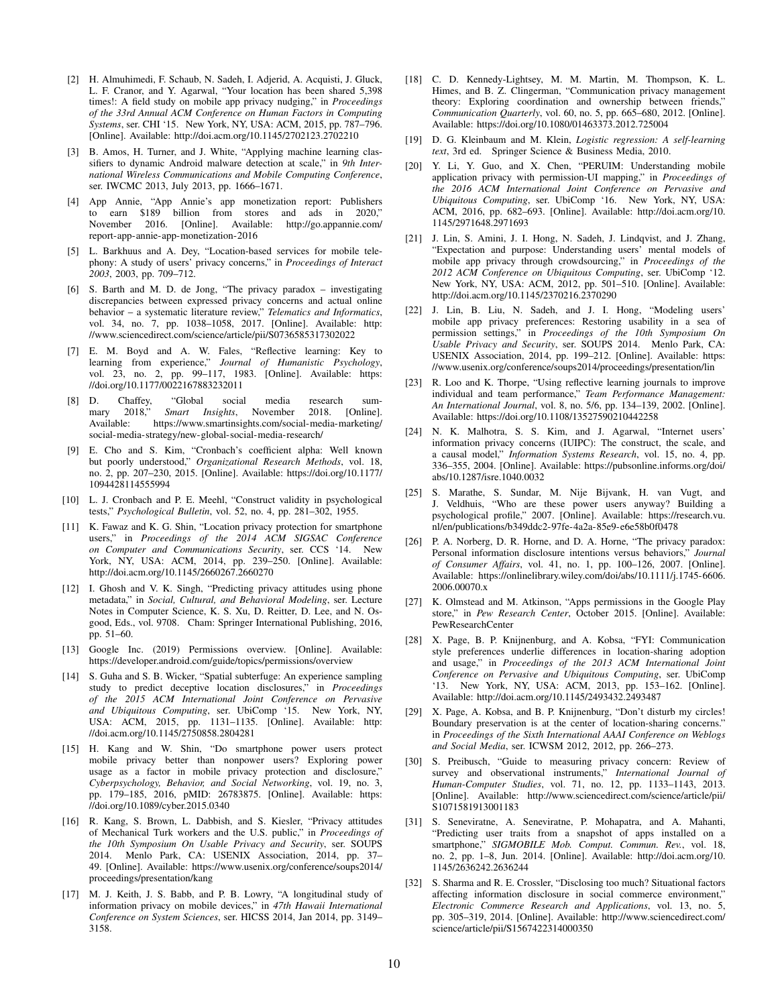- [2] H. Almuhimedi, F. Schaub, N. Sadeh, I. Adjerid, A. Acquisti, J. Gluck, L. F. Cranor, and Y. Agarwal, "Your location has been shared 5,398 times!: A field study on mobile app privacy nudging," in *Proceedings of the 33rd Annual ACM Conference on Human Factors in Computing Systems*, ser. CHI '15. New York, NY, USA: ACM, 2015, pp. 787–796. [Online]. Available: http://doi.acm.org/10.1145/2702123.2702210
- [3] B. Amos, H. Turner, and J. White, "Applying machine learning classifiers to dynamic Android malware detection at scale," in *9th International Wireless Communications and Mobile Computing Conference*, ser. IWCMC 2013, July 2013, pp. 1666–1671.
- [4] App Annie, "App Annie's app monetization report: Publishers to earn \$189 billion from stores and ads in 2020," November 2016. [Online]. Available: http://go.appannie.com/ report-app-annie-app-monetization-2016
- [5] L. Barkhuus and A. Dey, "Location-based services for mobile telephony: A study of users' privacy concerns," in *Proceedings of Interact 2003*, 2003, pp. 709–712.
- [6] S. Barth and M. D. de Jong, "The privacy paradox investigating discrepancies between expressed privacy concerns and actual online behavior – a systematic literature review," *Telematics and Informatics*, vol. 34, no. 7, pp. 1038–1058, 2017. [Online]. Available: http: //www.sciencedirect.com/science/article/pii/S0736585317302022
- [7] E. M. Boyd and A. W. Fales, "Reflective learning: Key to learning from experience," *Journal of Humanistic Psychology*, vol. 23, no. 2, pp. 99–117, 1983. [Online]. Available: https: //doi.org/10.1177/0022167883232011
- [8] D. Chaffey, "Global social media research sum-<br>mary 2018," Smart Insights, November 2018. [Online]. mary 2018," *Smart Insights*, November Available: https://www.smartinsights.com/soc https://www.smartinsights.com/social-media-marketing/ social-media-strategy/new-global-social-media-research/
- [9] E. Cho and S. Kim, "Cronbach's coefficient alpha: Well known but poorly understood," *Organizational Research Methods*, vol. 18, no. 2, pp. 207–230, 2015. [Online]. Available: https://doi.org/10.1177/ 1094428114555994
- [10] L. J. Cronbach and P. E. Meehl, "Construct validity in psychological tests," *Psychological Bulletin*, vol. 52, no. 4, pp. 281–302, 1955.
- [11] K. Fawaz and K. G. Shin, "Location privacy protection for smartphone users," in *Proceedings of the 2014 ACM SIGSAC Conference on Computer and Communications Security*, ser. CCS '14. New York, NY, USA: ACM, 2014, pp. 239–250. [Online]. Available: http://doi.acm.org/10.1145/2660267.2660270
- [12] I. Ghosh and V. K. Singh, "Predicting privacy attitudes using phone metadata," in *Social, Cultural, and Behavioral Modeling*, ser. Lecture Notes in Computer Science, K. S. Xu, D. Reitter, D. Lee, and N. Osgood, Eds., vol. 9708. Cham: Springer International Publishing, 2016, pp. 51–60.
- [13] Google Inc. (2019) Permissions overview. [Online]. Available: https://developer.android.com/guide/topics/permissions/overview
- [14] S. Guha and S. B. Wicker, "Spatial subterfuge: An experience sampling study to predict deceptive location disclosures," in *Proceedings of the 2015 ACM International Joint Conference on Pervasive and Ubiquitous Computing*, ser. UbiComp '15. New York, NY, USA: ACM, 2015, pp. 1131–1135. [Online]. Available: http: //doi.acm.org/10.1145/2750858.2804281
- [15] H. Kang and W. Shin, "Do smartphone power users protect mobile privacy better than nonpower users? Exploring power usage as a factor in mobile privacy protection and disclosure," *Cyberpsychology, Behavior, and Social Networking*, vol. 19, no. 3, pp. 179–185, 2016, pMID: 26783875. [Online]. Available: https: //doi.org/10.1089/cyber.2015.0340
- [16] R. Kang, S. Brown, L. Dabbish, and S. Kiesler, "Privacy attitudes of Mechanical Turk workers and the U.S. public," in *Proceedings of the 10th Symposium On Usable Privacy and Security*, ser. SOUPS 2014. Menlo Park, CA: USENIX Association, 2014, pp. 37– 49. [Online]. Available: https://www.usenix.org/conference/soups2014/ proceedings/presentation/kang
- [17] M. J. Keith, J. S. Babb, and P. B. Lowry, "A longitudinal study of information privacy on mobile devices," in *47th Hawaii International Conference on System Sciences*, ser. HICSS 2014, Jan 2014, pp. 3149– 3158.
- [18] C. D. Kennedy-Lightsey, M. M. Martin, M. Thompson, K. L. Himes, and B. Z. Clingerman, "Communication privacy management theory: Exploring coordination and ownership between friends," *Communication Quarterly*, vol. 60, no. 5, pp. 665–680, 2012. [Online]. Available: https://doi.org/10.1080/01463373.2012.725004
- [19] D. G. Kleinbaum and M. Klein, *Logistic regression: A self-learning text*, 3rd ed. Springer Science & Business Media, 2010.
- [20] Y. Li, Y. Guo, and X. Chen, "PERUIM: Understanding mobile application privacy with permission-UI mapping," in *Proceedings of the 2016 ACM International Joint Conference on Pervasive and Ubiquitous Computing*, ser. UbiComp '16. New York, NY, USA: ACM, 2016, pp. 682–693. [Online]. Available: http://doi.acm.org/10. 1145/2971648.2971693
- [21] J. Lin, S. Amini, J. I. Hong, N. Sadeh, J. Lindqvist, and J. Zhang, "Expectation and purpose: Understanding users' mental models of mobile app privacy through crowdsourcing," in *Proceedings of the 2012 ACM Conference on Ubiquitous Computing*, ser. UbiComp '12. New York, NY, USA: ACM, 2012, pp. 501–510. [Online]. Available: http://doi.acm.org/10.1145/2370216.2370290
- [22] J. Lin, B. Liu, N. Sadeh, and J. I. Hong, "Modeling users' mobile app privacy preferences: Restoring usability in a sea of permission settings," in *Proceedings of the 10th Symposium On Usable Privacy and Security*, ser. SOUPS 2014. Menlo Park, CA: USENIX Association, 2014, pp. 199–212. [Online]. Available: https: //www.usenix.org/conference/soups2014/proceedings/presentation/lin
- [23] R. Loo and K. Thorpe, "Using reflective learning journals to improve individual and team performance," *Team Performance Management: An International Journal*, vol. 8, no. 5/6, pp. 134–139, 2002. [Online]. Available: https://doi.org/10.1108/13527590210442258
- [24] N. K. Malhotra, S. S. Kim, and J. Agarwal, "Internet users' information privacy concerns (IUIPC): The construct, the scale, and a causal model," *Information Systems Research*, vol. 15, no. 4, pp. 336–355, 2004. [Online]. Available: https://pubsonline.informs.org/doi/ abs/10.1287/isre.1040.0032
- [25] S. Marathe, S. Sundar, M. Nije Bijvank, H. van Vugt, and J. Veldhuis, "Who are these power users anyway? Building a psychological profile," 2007. [Online]. Available: https://research.vu. nl/en/publications/b349ddc2-97fe-4a2a-85e9-e6e58b0f0478
- [26] P. A. Norberg, D. R. Horne, and D. A. Horne, "The privacy paradox: Personal information disclosure intentions versus behaviors," *Journal of Consumer Affairs*, vol. 41, no. 1, pp. 100–126, 2007. [Online]. Available: https://onlinelibrary.wiley.com/doi/abs/10.1111/j.1745-6606. 2006.00070.x
- [27] K. Olmstead and M. Atkinson, "Apps permissions in the Google Play store," in *Pew Research Center*, October 2015. [Online]. Available: PewResearchCenter
- [28] X. Page, B. P. Knijnenburg, and A. Kobsa, "FYI: Communication style preferences underlie differences in location-sharing adoption and usage," in *Proceedings of the 2013 ACM International Joint Conference on Pervasive and Ubiquitous Computing*, ser. UbiComp '13. New York, NY, USA: ACM, 2013, pp. 153–162. [Online]. Available: http://doi.acm.org/10.1145/2493432.2493487
- [29] X. Page, A. Kobsa, and B. P. Knijnenburg, "Don't disturb my circles! Boundary preservation is at the center of location-sharing concerns." in *Proceedings of the Sixth International AAAI Conference on Weblogs and Social Media*, ser. ICWSM 2012, 2012, pp. 266–273.
- [30] S. Preibusch, "Guide to measuring privacy concern: Review of survey and observational instruments," *International Journal of Human-Computer Studies*, vol. 71, no. 12, pp. 1133–1143, 2013. [Online]. Available: http://www.sciencedirect.com/science/article/pii/ S1071581913001183
- [31] S. Seneviratne, A. Seneviratne, P. Mohapatra, and A. Mahanti, "Predicting user traits from a snapshot of apps installed on a smartphone," *SIGMOBILE Mob. Comput. Commun. Rev.*, vol. 18, no. 2, pp. 1–8, Jun. 2014. [Online]. Available: http://doi.acm.org/10. 1145/2636242.2636244
- [32] S. Sharma and R. E. Crossler, "Disclosing too much? Situational factors affecting information disclosure in social commerce environment," *Electronic Commerce Research and Applications*, vol. 13, no. 5, pp. 305–319, 2014. [Online]. Available: http://www.sciencedirect.com/ science/article/pii/S1567422314000350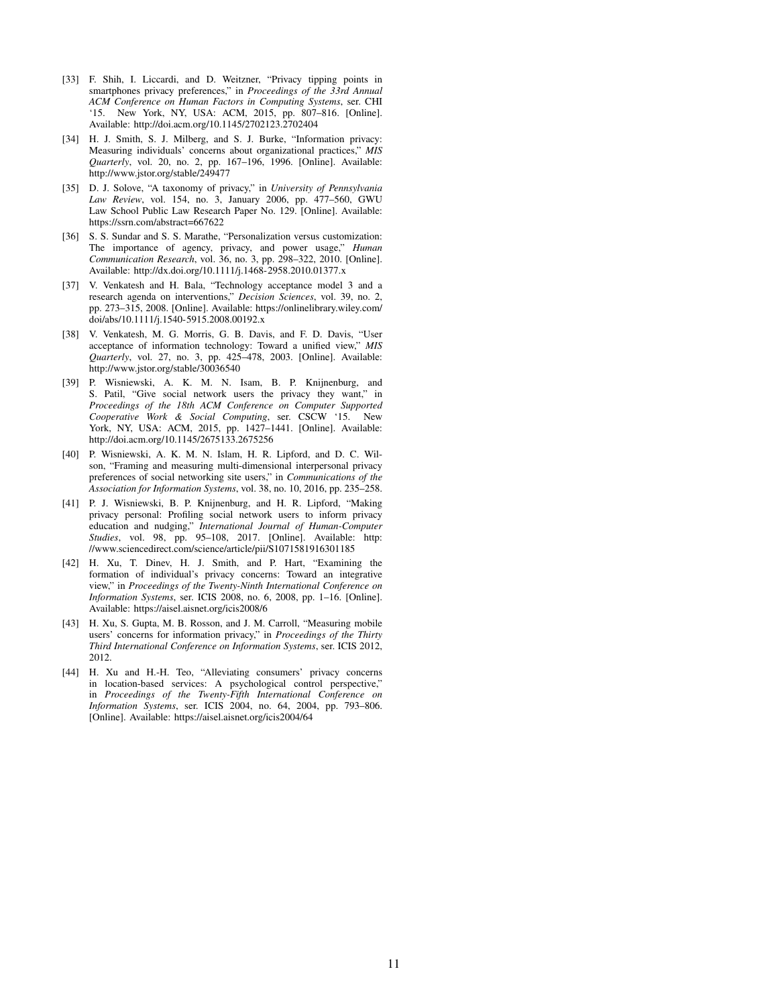- [33] F. Shih, I. Liccardi, and D. Weitzner, "Privacy tipping points in smartphones privacy preferences," in *Proceedings of the 33rd Annual ACM Conference on Human Factors in Computing Systems*, ser. CHI '15. New York, NY, USA: ACM, 2015, pp. 807–816. [Online]. Available: http://doi.acm.org/10.1145/2702123.2702404
- [34] H. J. Smith, S. J. Milberg, and S. J. Burke, "Information privacy: Measuring individuals' concerns about organizational practices," *MIS Quarterly*, vol. 20, no. 2, pp. 167–196, 1996. [Online]. Available: http://www.jstor.org/stable/249477
- [35] D. J. Solove, "A taxonomy of privacy," in *University of Pennsylvania Law Review*, vol. 154, no. 3, January 2006, pp. 477–560, GWU Law School Public Law Research Paper No. 129. [Online]. Available: https://ssrn.com/abstract=667622
- [36] S. S. Sundar and S. S. Marathe, "Personalization versus customization: The importance of agency, privacy, and power usage," *Human Communication Research*, vol. 36, no. 3, pp. 298–322, 2010. [Online]. Available: http://dx.doi.org/10.1111/j.1468-2958.2010.01377.x
- [37] V. Venkatesh and H. Bala, "Technology acceptance model 3 and a research agenda on interventions," *Decision Sciences*, vol. 39, no. 2, pp. 273–315, 2008. [Online]. Available: https://onlinelibrary.wiley.com/ doi/abs/10.1111/j.1540-5915.2008.00192.x
- [38] V. Venkatesh, M. G. Morris, G. B. Davis, and F. D. Davis, "User acceptance of information technology: Toward a unified view," *MIS Quarterly*, vol. 27, no. 3, pp. 425–478, 2003. [Online]. Available: http://www.jstor.org/stable/30036540
- [39] P. Wisniewski, A. K. M. N. Isam, B. P. Knijnenburg, and S. Patil, "Give social network users the privacy they want," in *Proceedings of the 18th ACM Conference on Computer Supported Cooperative Work & Social Computing*, ser. CSCW '15. New York, NY, USA: ACM, 2015, pp. 1427-1441. [Online]. Available: http://doi.acm.org/10.1145/2675133.2675256
- [40] P. Wisniewski, A. K. M. N. Islam, H. R. Lipford, and D. C. Wilson, "Framing and measuring multi-dimensional interpersonal privacy preferences of social networking site users," in *Communications of the Association for Information Systems*, vol. 38, no. 10, 2016, pp. 235–258.
- [41] P. J. Wisniewski, B. P. Knijnenburg, and H. R. Lipford, "Making privacy personal: Profiling social network users to inform privacy education and nudging," *International Journal of Human-Computer Studies*, vol. 98, pp. 95–108, 2017. [Online]. Available: http: //www.sciencedirect.com/science/article/pii/S1071581916301185
- [42] H. Xu, T. Dinev, H. J. Smith, and P. Hart, "Examining the formation of individual's privacy concerns: Toward an integrative view," in *Proceedings of the Twenty-Ninth International Conference on Information Systems*, ser. ICIS 2008, no. 6, 2008, pp. 1–16. [Online]. Available: https://aisel.aisnet.org/icis2008/6
- [43] H. Xu, S. Gupta, M. B. Rosson, and J. M. Carroll, "Measuring mobile users' concerns for information privacy," in *Proceedings of the Thirty Third International Conference on Information Systems*, ser. ICIS 2012, 2012.
- [44] H. Xu and H.-H. Teo, "Alleviating consumers' privacy concerns in location-based services: A psychological control perspective," in *Proceedings of the Twenty-Fifth International Conference on Information Systems*, ser. ICIS 2004, no. 64, 2004, pp. 793–806. [Online]. Available: https://aisel.aisnet.org/icis2004/64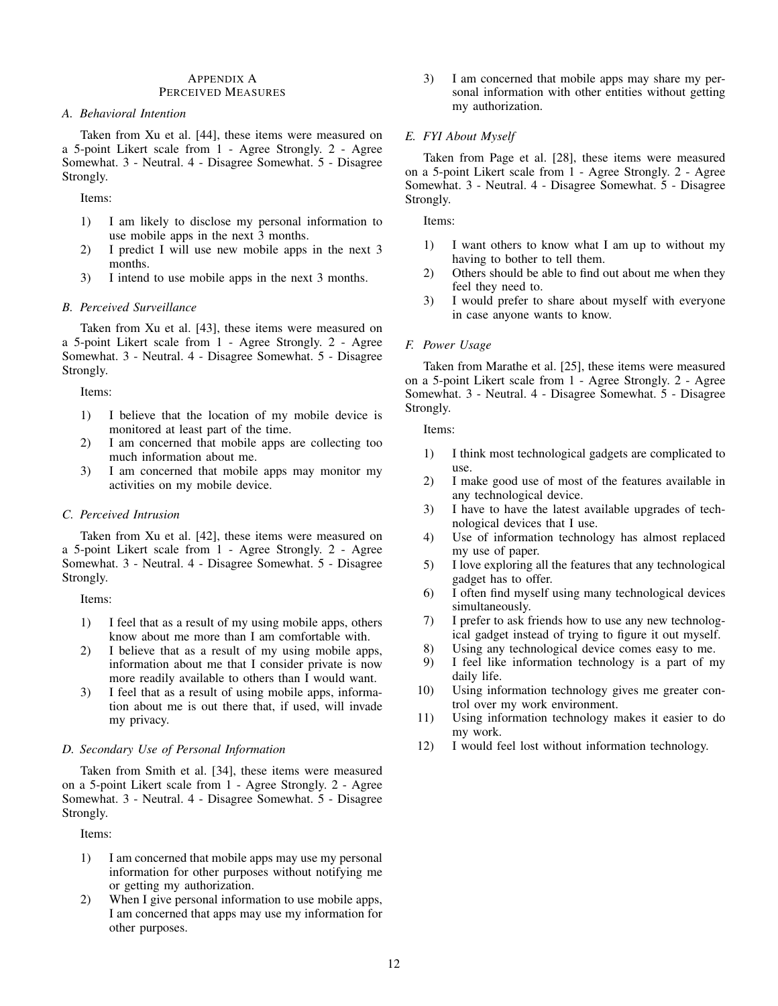## APPENDIX A PERCEIVED MEASURES

## *A. Behavioral Intention*

Taken from Xu et al. [44], these items were measured on a 5-point Likert scale from 1 - Agree Strongly. 2 - Agree Somewhat. 3 - Neutral. 4 - Disagree Somewhat. 5 - Disagree Strongly.

Items:

- 1) I am likely to disclose my personal information to use mobile apps in the next 3 months.
- 2) I predict I will use new mobile apps in the next 3 months.
- 3) I intend to use mobile apps in the next 3 months.

#### *B. Perceived Surveillance*

Taken from Xu et al. [43], these items were measured on a 5-point Likert scale from 1 - Agree Strongly. 2 - Agree Somewhat. 3 - Neutral. 4 - Disagree Somewhat. 5 - Disagree Strongly.

Items:

- 1) I believe that the location of my mobile device is monitored at least part of the time.
- 2) I am concerned that mobile apps are collecting too much information about me.
- 3) I am concerned that mobile apps may monitor my activities on my mobile device.

### *C. Perceived Intrusion*

Taken from Xu et al. [42], these items were measured on a 5-point Likert scale from 1 - Agree Strongly. 2 - Agree Somewhat. 3 - Neutral. 4 - Disagree Somewhat. 5 - Disagree Strongly.

Items:

- 1) I feel that as a result of my using mobile apps, others know about me more than I am comfortable with.
- 2) I believe that as a result of my using mobile apps, information about me that I consider private is now more readily available to others than I would want.
- 3) I feel that as a result of using mobile apps, information about me is out there that, if used, will invade my privacy.

#### *D. Secondary Use of Personal Information*

Taken from Smith et al. [34], these items were measured on a 5-point Likert scale from 1 - Agree Strongly. 2 - Agree Somewhat. 3 - Neutral. 4 - Disagree Somewhat. 5 - Disagree Strongly.

Items:

- 1) I am concerned that mobile apps may use my personal information for other purposes without notifying me or getting my authorization.
- 2) When I give personal information to use mobile apps, I am concerned that apps may use my information for other purposes.

3) I am concerned that mobile apps may share my personal information with other entities without getting my authorization.

## *E. FYI About Myself*

Taken from Page et al. [28], these items were measured on a 5-point Likert scale from 1 - Agree Strongly. 2 - Agree Somewhat. 3 - Neutral. 4 - Disagree Somewhat. 5 - Disagree Strongly.

Items:

- 1) I want others to know what I am up to without my having to bother to tell them.
- 2) Others should be able to find out about me when they feel they need to.
- 3) I would prefer to share about myself with everyone in case anyone wants to know.

### *F. Power Usage*

Taken from Marathe et al. [25], these items were measured on a 5-point Likert scale from 1 - Agree Strongly. 2 - Agree Somewhat. 3 - Neutral. 4 - Disagree Somewhat. 5 - Disagree Strongly.

#### Items:

- 1) I think most technological gadgets are complicated to use.
- 2) I make good use of most of the features available in any technological device.
- 3) I have to have the latest available upgrades of technological devices that I use.
- 4) Use of information technology has almost replaced my use of paper.
- 5) I love exploring all the features that any technological gadget has to offer.
- 6) I often find myself using many technological devices simultaneously.
- 7) I prefer to ask friends how to use any new technological gadget instead of trying to figure it out myself.
- 8) Using any technological device comes easy to me.
- 9) I feel like information technology is a part of my daily life.
- 10) Using information technology gives me greater control over my work environment.
- 11) Using information technology makes it easier to do my work.
- 12) I would feel lost without information technology.